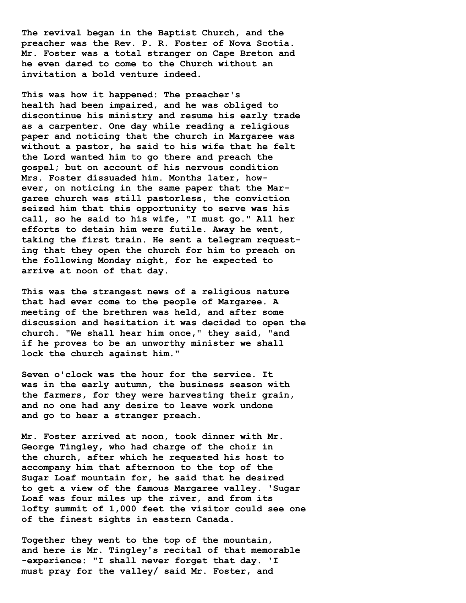**The revival began in the Baptist Church, and the preacher was the Rev. P. R. Foster of Nova Scotia. Mr. Foster was a total stranger on Cape Breton and he even dared to come to the Church without an invitation a bold venture indeed.** 

**This was how it happened: The preacher's health had been impaired, and he was obliged to discontinue his ministry and resume his early trade as a carpenter. One day while reading a religious paper and noticing that the church in Margaree was without a pastor, he said to his wife that he felt the Lord wanted him to go there and preach the gospel; but on account of his nervous condition Mrs. Foster dissuaded him. Months later, however, on noticing in the same paper that the Margaree church was still pastorless, the conviction seized him that this opportunity to serve was his call, so he said to his wife, "I must go." All her efforts to detain him were futile. Away he went, taking the first train. He sent a telegram requesting that they open the church for him to preach on the following Monday night, for he expected to arrive at noon of that day.** 

**This was the strangest news of a religious nature that had ever come to the people of Margaree. A meeting of the brethren was held, and after some discussion and hesitation it was decided to open the church. "We shall hear him once," they said, "and if he proves to be an unworthy minister we shall lock the church against him."** 

**Seven o'clock was the hour for the service. It was in the early autumn, the business season with the farmers, for they were harvesting their grain, and no one had any desire to leave work undone and go to hear a stranger preach.** 

**Mr. Foster arrived at noon, took dinner with Mr. George Tingley, who had charge of the choir in the church, after which he requested his host to accompany him that afternoon to the top of the Sugar Loaf mountain for, he said that he desired to get a view of the famous Margaree valley. 'Sugar Loaf was four miles up the river, and from its lofty summit of 1,000 feet the visitor could see one of the finest sights in eastern Canada.** 

**Together they went to the top of the mountain, and here is Mr. Tingley's recital of that memorable -experience: "I shall never forget that day. 'I must pray for the valley/ said Mr. Foster, and**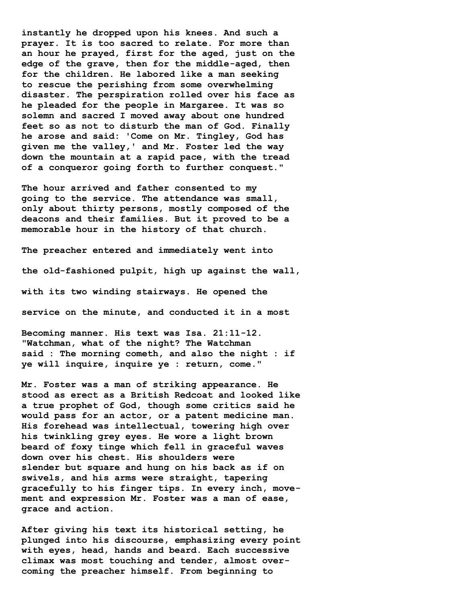**instantly he dropped upon his knees. And such a prayer. It is too sacred to relate. For more than an hour he prayed, first for the aged, just on the edge of the grave, then for the middle-aged, then for the children. He labored like a man seeking to rescue the perishing from some overwhelming disaster. The perspiration rolled over his face as he pleaded for the people in Margaree. It was so solemn and sacred I moved away about one hundred feet so as not to disturb the man of God. Finally he arose and said: 'Come on Mr. Tingley, God has given me the valley,' and Mr. Foster led the way down the mountain at a rapid pace, with the tread of a conqueror going forth to further conquest."** 

**The hour arrived and father consented to my going to the service. The attendance was small, only about thirty persons, mostly composed of the deacons and their families. But it proved to be a memorable hour in the history of that church.** 

**The preacher entered and immediately went into the old-fashioned pulpit, high up against the wall, with its two winding stairways. He opened the service on the minute, and conducted it in a most** 

**Becoming manner. His text was Isa. 21:11-12. "Watchman, what of the night? The Watchman said : The morning cometh, and also the night : if ye will inquire, inquire ye : return, come."** 

**Mr. Foster was a man of striking appearance. He stood as erect as a British Redcoat and looked like a true prophet of God, though some critics said he would pass for an actor, or a patent medicine man. His forehead was intellectual, towering high over his twinkling grey eyes. He wore a light brown beard of foxy tinge which fell in graceful waves down over his chest. His shoulders were slender but square and hung on his back as if on swivels, and his arms were straight, tapering gracefully to his finger tips. In every inch, movement and expression Mr. Foster was a man of ease, grace and action.** 

**After giving his text its historical setting, he plunged into his discourse, emphasizing every point with eyes, head, hands and beard. Each successive climax was most touching and tender, almost overcoming the preacher himself. From beginning to**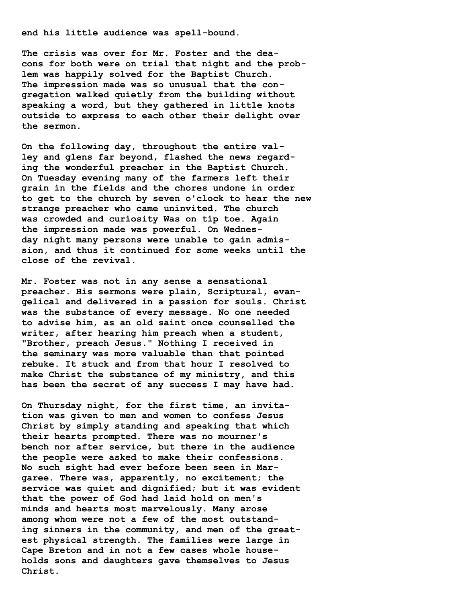**end his little audience was spell-bound.** 

**The crisis was over for Mr. Foster and the deacons for both were on trial that night and the problem was happily solved for the Baptist Church. The impression made was so unusual that the congregation walked quietly from the building without speaking a word, but they gathered in little knots outside to express to each other their delight over the sermon.** 

**On the following day, throughout the entire valley and glens far beyond, flashed the news regarding the wonderful preacher in the Baptist Church. On Tuesday evening many of the farmers left their grain in the fields and the chores undone in order to get to the church by seven o'clock to hear the new strange preacher who came uninvited. The church was crowded and curiosity Was on tip toe. Again the impression made was powerful. On Wednesday night many persons were unable to gain admission, and thus it continued for some weeks until the close of the revival.** 

**Mr. Foster was not in any sense a sensational preacher. His sermons were plain, Scriptural, evangelical and delivered in a passion for souls. Christ was the substance of every message. No one needed to advise him, as an old saint once counselled the writer, after hearing him preach when a student, "Brother, preach Jesus." Nothing I received in the seminary was more valuable than that pointed rebuke. It stuck and from that hour I resolved to make Christ the substance of my ministry, and this has been the secret of any success I may have had.** 

**On Thursday night, for the first time, an invitation was given to men and women to confess Jesus Christ by simply standing and speaking that which their hearts prompted. There was no mourner's bench nor after service, but there in the audience the people were asked to make their confessions. No such sight had ever before been seen in Margaree. There was, apparently, no excitement; the service was quiet and dignified; but it was evident that the power of God had laid hold on men's minds and hearts most marvelously. Many arose among whom were not a few of the most outstanding sinners in the community, and men of the greatest physical strength. The families were large in Cape Breton and in not a few cases whole households sons and daughters gave themselves to Jesus Christ.**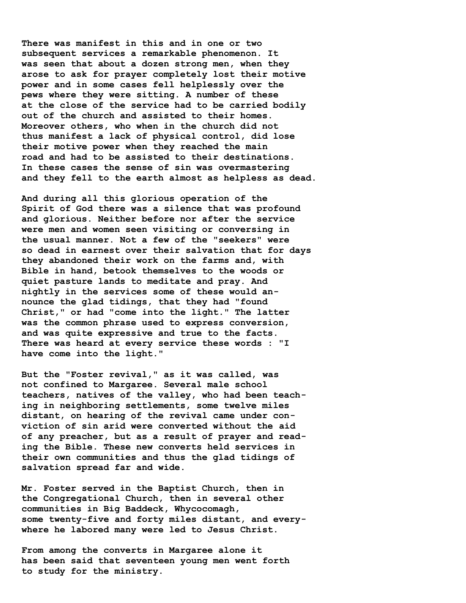**There was manifest in this and in one or two subsequent services a remarkable phenomenon. It was seen that about a dozen strong men, when they arose to ask for prayer completely lost their motive power and in some cases fell helplessly over the pews where they were sitting. A number of these at the close of the service had to be carried bodily out of the church and assisted to their homes. Moreover others, who when in the church did not thus manifest a lack of physical control, did lose their motive power when they reached the main road and had to be assisted to their destinations. In these cases the sense of sin was overmastering and they fell to the earth almost as helpless as dead.** 

**And during all this glorious operation of the Spirit of God there was a silence that was profound and glorious. Neither before nor after the service were men and women seen visiting or conversing in the usual manner. Not a few of the "seekers" were so dead in earnest over their salvation that for days they abandoned their work on the farms and, with Bible in hand, betook themselves to the woods or quiet pasture lands to meditate and pray. And nightly in the services some of these would announce the glad tidings, that they had "found Christ," or had "come into the light." The latter was the common phrase used to express conversion, and was quite expressive and true to the facts. There was heard at every service these words : "I have come into the light."** 

**But the "Foster revival," as it was called, was not confined to Margaree. Several male school teachers, natives of the valley, who had been teaching in neighboring settlements, some twelve miles distant, on hearing of the revival came under conviction of sin arid were converted without the aid of any preacher, but as a result of prayer and reading the Bible. These new converts held services in their own communities and thus the glad tidings of salvation spread far and wide.** 

**Mr. Foster served in the Baptist Church, then in the Congregational Church, then in several other communities in Big Baddeck, Whycocomagh, some twenty-five and forty miles distant, and everywhere he labored many were led to Jesus Christ.** 

**From among the converts in Margaree alone it has been said that seventeen young men went forth to study for the ministry.**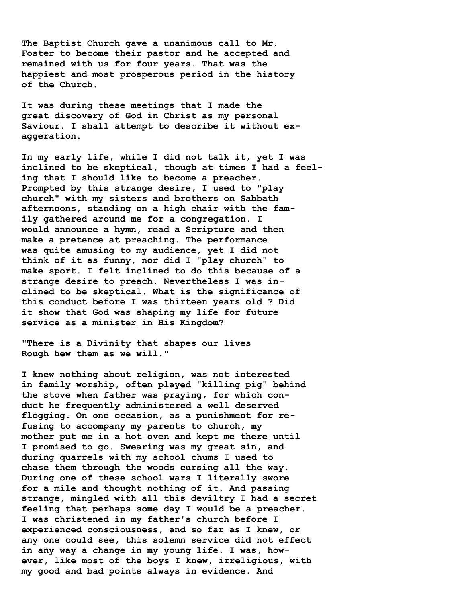**The Baptist Church gave a unanimous call to Mr. Foster to become their pastor and he accepted and remained with us for four years. That was the happiest and most prosperous period in the history of the Church.** 

**It was during these meetings that I made the great discovery of God in Christ as my personal Saviour. I shall attempt to describe it without exaggeration.** 

**In my early life, while I did not talk it, yet I was inclined to be skeptical, though at times I had a feeling that I should like to become a preacher. Prompted by this strange desire, I used to "play church" with my sisters and brothers on Sabbath afternoons, standing on a high chair with the family gathered around me for a congregation. I would announce a hymn, read a Scripture and then make a pretence at preaching. The performance was quite amusing to my audience, yet I did not think of it as funny, nor did I "play church" to make sport. I felt inclined to do this because of a strange desire to preach. Nevertheless I was inclined to be skeptical. What is the significance of this conduct before I was thirteen years old ? Did it show that God was shaping my life for future service as a minister in His Kingdom?** 

**"There is a Divinity that shapes our lives Rough hew them as we will."** 

**I knew nothing about religion, was not interested in family worship, often played "killing pig" behind the stove when father was praying, for which conduct he frequently administered a well deserved flogging. On one occasion, as a punishment for refusing to accompany my parents to church, my mother put me in a hot oven and kept me there until I promised to go. Swearing was my great sin, and during quarrels with my school chums I used to chase them through the woods cursing all the way. During one of these school wars I literally swore for a mile and thought nothing of it. And passing strange, mingled with all this deviltry I had a secret feeling that perhaps some day I would be a preacher. I was christened in my father's church before I experienced consciousness, and so far as I knew, or any one could see, this solemn service did not effect in any way a change in my young life. I was, however, like most of the boys I knew, irreligious, with my good and bad points always in evidence. And**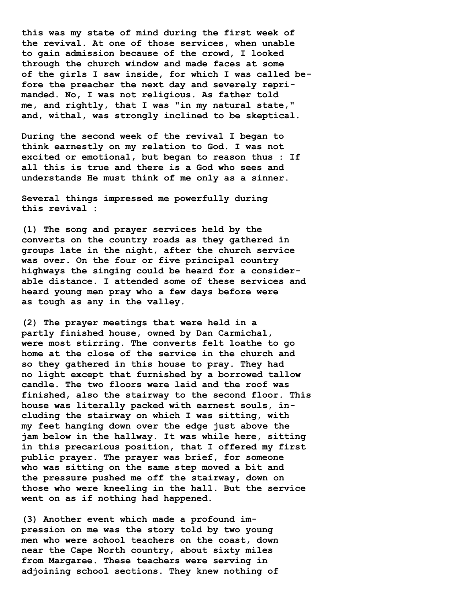**this was my state of mind during the first week of the revival. At one of those services, when unable to gain admission because of the crowd, I looked through the church window and made faces at some of the girls I saw inside, for which I was called before the preacher the next day and severely reprimanded. No, I was not religious. As father told me, and rightly, that I was "in my natural state," and, withal, was strongly inclined to be skeptical.** 

**During the second week of the revival I began to think earnestly on my relation to God. I was not excited or emotional, but began to reason thus : If all this is true and there is a God who sees and understands He must think of me only as a sinner.** 

**Several things impressed me powerfully during this revival :** 

**(1) The song and prayer services held by the converts on the country roads as they gathered in groups late in the night, after the church service was over. On the four or five principal country highways the singing could be heard for a considerable distance. I attended some of these services and heard young men pray who a few days before were as tough as any in the valley.** 

**(2) The prayer meetings that were held in a partly finished house, owned by Dan Carmichal, were most stirring. The converts felt loathe to go home at the close of the service in the church and so they gathered in this house to pray. They had no light except that furnished by a borrowed tallow candle. The two floors were laid and the roof was finished, also the stairway to the second floor. This house was literally packed with earnest souls, including the stairway on which I was sitting, with my feet hanging down over the edge just above the jam below in the hallway. It was while here, sitting in this precarious position, that I offered my first public prayer. The prayer was brief, for someone who was sitting on the same step moved a bit and the pressure pushed me off the stairway, down on those who were kneeling in the hall. But the service went on as if nothing had happened.** 

**(3) Another event which made a profound impression on me was the story told by two young men who were school teachers on the coast, down near the Cape North country, about sixty miles from Margaree. These teachers were serving in adjoining school sections. They knew nothing of**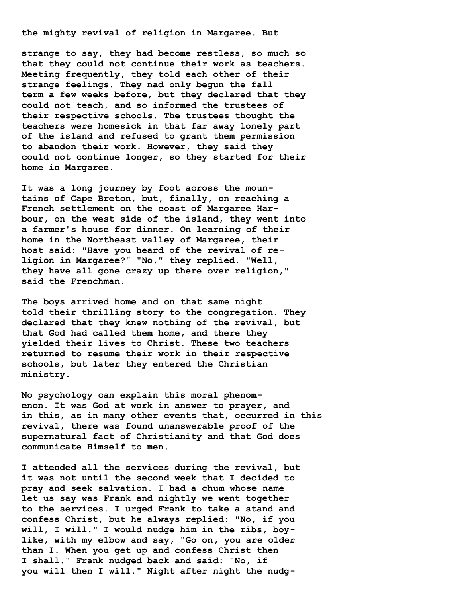**the mighty revival of religion in Margaree. But** 

**strange to say, they had become restless, so much so that they could not continue their work as teachers. Meeting frequently, they told each other of their strange feelings. They nad only begun the fall term a few weeks before, but they declared that they could not teach, and so informed the trustees of their respective schools. The trustees thought the teachers were homesick in that far away lonely part of the island and refused to grant them permission to abandon their work. However, they said they could not continue longer, so they started for their home in Margaree.** 

**It was a long journey by foot across the mountains of Cape Breton, but, finally, on reaching a French settlement on the coast of Margaree Harbour, on the west side of the island, they went into a farmer's house for dinner. On learning of their home in the Northeast valley of Margaree, their host said: "Have you heard of the revival of religion in Margaree?" "No," they replied. "Well, they have all gone crazy up there over religion," said the Frenchman.** 

**The boys arrived home and on that same night told their thrilling story to the congregation. They declared that they knew nothing of the revival, but that God had called them home, and there they yielded their lives to Christ. These two teachers returned to resume their work in their respective schools, but later they entered the Christian ministry.** 

**No psychology can explain this moral phenomenon. It was God at work in answer to prayer, and in this, as in many other events that, occurred in this revival, there was found unanswerable proof of the supernatural fact of Christianity and that God does communicate Himself to men.** 

**I attended all the services during the revival, but it was not until the second week that I decided to pray and seek salvation. I had a chum whose name let us say was Frank and nightly we went together to the services. I urged Frank to take a stand and confess Christ, but he always replied: "No, if you will, I will." I would nudge him in the ribs, boylike, with my elbow and say, "Go on, you are older than I. When you get up and confess Christ then I shall." Frank nudged back and said: "No, if you will then I will." Night after night the nudg-**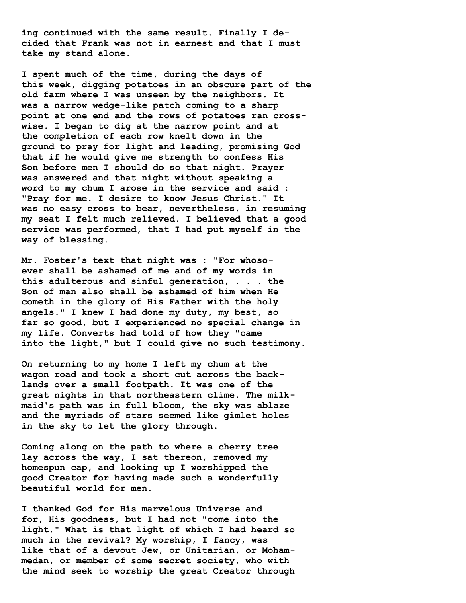**ing continued with the same result. Finally I decided that Frank was not in earnest and that I must take my stand alone.** 

**I spent much of the time, during the days of this week, digging potatoes in an obscure part of the old farm where I was unseen by the neighbors. It was a narrow wedge-like patch coming to a sharp point at one end and the rows of potatoes ran crosswise. I began to dig at the narrow point and at the completion of each row knelt down in the ground to pray for light and leading, promising God that if he would give me strength to confess His Son before men I should do so that night. Prayer was answered and that night without speaking a word to my chum I arose in the service and said : "Pray for me. I desire to know Jesus Christ." It was no easy cross to bear, nevertheless, in resuming my seat I felt much relieved. I believed that a good service was performed, that I had put myself in the way of blessing.** 

**Mr. Foster's text that night was : "For whosoever shall be ashamed of me and of my words in this adulterous and sinful generation, . . . the Son of man also shall be ashamed of him when He cometh in the glory of His Father with the holy angels." I knew I had done my duty, my best, so far so good, but I experienced no special change in my life. Converts had told of how they "came into the light," but I could give no such testimony.** 

**On returning to my home I left my chum at the wagon road and took a short cut across the backlands over a small footpath. It was one of the great nights in that northeastern clime. The milkmaid's path was in full bloom, the sky was ablaze and the myriads of stars seemed like gimlet holes in the sky to let the glory through.** 

**Coming along on the path to where a cherry tree lay across the way, I sat thereon, removed my homespun cap, and looking up I worshipped the good Creator for having made such a wonderfully beautiful world for men.** 

**I thanked God for His marvelous Universe and for, His goodness, but I had not "come into the light." What is that light of which I had heard so much in the revival? My worship, I fancy, was like that of a devout Jew, or Unitarian, or Mohammedan, or member of some secret society, who with the mind seek to worship the great Creator through**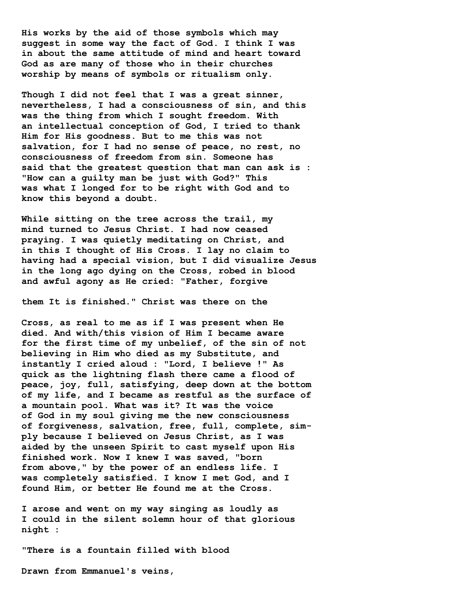**His works by the aid of those symbols which may suggest in some way the fact of God. I think I was in about the same attitude of mind and heart toward God as are many of those who in their churches worship by means of symbols or ritualism only.** 

**Though I did not feel that I was a great sinner, nevertheless, I had a consciousness of sin, and this was the thing from which I sought freedom. With an intellectual conception of God, I tried to thank Him for His goodness. But to me this was not salvation, for I had no sense of peace, no rest, no consciousness of freedom from sin. Someone has said that the greatest question that man can ask is : "How can a guilty man be just with God?" This was what I longed for to be right with God and to know this beyond a doubt.** 

**While sitting on the tree across the trail, my mind turned to Jesus Christ. I had now ceased praying. I was quietly meditating on Christ, and in this I thought of His Cross. I lay no claim to having had a special vision, but I did visualize Jesus in the long ago dying on the Cross, robed in blood and awful agony as He cried: "Father, forgive** 

**them It is finished." Christ was there on the** 

**Cross, as real to me as if I was present when He died. And with/this vision of Him I became aware for the first time of my unbelief, of the sin of not believing in Him who died as my Substitute, and instantly I cried aloud : "Lord, I believe !" As quick as the lightning flash there came a flood of peace, joy, full, satisfying, deep down at the bottom of my life, and I became as restful as the surface of a mountain pool. What was it? It was the voice of God in my soul giving me the new consciousness of forgiveness, salvation, free, full, complete, simply because I believed on Jesus Christ, as I was aided by the unseen Spirit to cast myself upon His finished work. Now I knew I was saved, "born from above," by the power of an endless life. I was completely satisfied. I know I met God, and I found Him, or better He found me at the Cross.** 

**I arose and went on my way singing as loudly as I could in the silent solemn hour of that glorious night :** 

**"There is a fountain filled with blood** 

**Drawn from Emmanuel's veins,**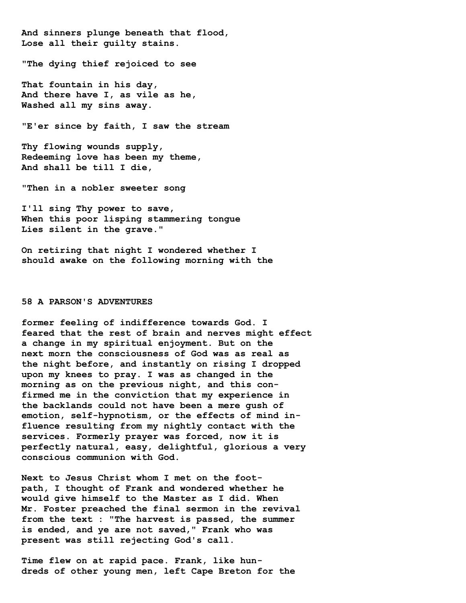**And sinners plunge beneath that flood, Lose all their guilty stains.** 

**"The dying thief rejoiced to see** 

**That fountain in his day, And there have I, as vile as he, Washed all my sins away.** 

**"E'er since by faith, I saw the stream** 

**Thy flowing wounds supply, Redeeming love has been my theme, And shall be till I die,** 

**"Then in a nobler sweeter song** 

**I'll sing Thy power to save, When this poor lisping stammering tongue Lies silent in the grave."** 

**On retiring that night I wondered whether I should awake on the following morning with the** 

## **58 A PARSON'S ADVENTURES**

**former feeling of indifference towards God. I feared that the rest of brain and nerves might effect a change in my spiritual enjoyment. But on the next morn the consciousness of God was as real as the night before, and instantly on rising I dropped upon my knees to pray. I was as changed in the morning as on the previous night, and this confirmed me in the conviction that my experience in the backlands could not have been a mere gush of emotion, self-hypnotism, or the effects of mind influence resulting from my nightly contact with the services. Formerly prayer was forced, now it is perfectly natural, easy, delightful, glorious a very conscious communion with God.** 

**Next to Jesus Christ whom I met on the footpath, I thought of Frank and wondered whether he would give himself to the Master as I did. When Mr. Foster preached the final sermon in the revival from the text : "The harvest is passed, the summer is ended, and ye are not saved," Frank who was present was still rejecting God's call.** 

**Time flew on at rapid pace. Frank, like hundreds of other young men, left Cape Breton for the**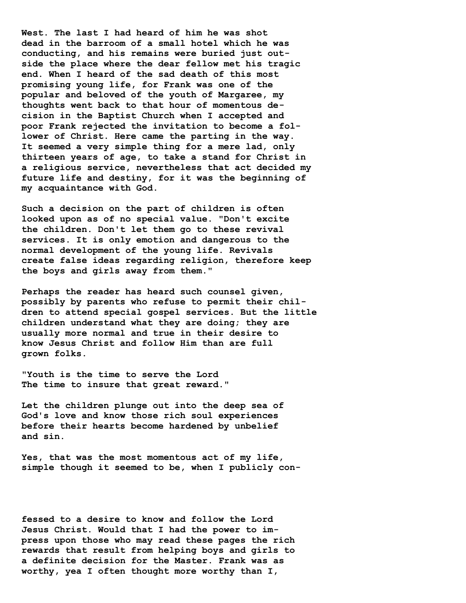**West. The last I had heard of him he was shot dead in the barroom of a small hotel which he was conducting, and his remains were buried just outside the place where the dear fellow met his tragic end. When I heard of the sad death of this most promising young life, for Frank was one of the popular and beloved of the youth of Margaree, my thoughts went back to that hour of momentous decision in the Baptist Church when I accepted and poor Frank rejected the invitation to become a follower of Christ. Here came the parting in the way. It seemed a very simple thing for a mere lad, only thirteen years of age, to take a stand for Christ in a religious service, nevertheless that act decided my future life and destiny, for it was the beginning of my acquaintance with God.** 

**Such a decision on the part of children is often looked upon as of no special value. "Don't excite the children. Don't let them go to these revival services. It is only emotion and dangerous to the normal development of the young life. Revivals create false ideas regarding religion, therefore keep the boys and girls away from them."** 

**Perhaps the reader has heard such counsel given, possibly by parents who refuse to permit their children to attend special gospel services. But the little children understand what they are doing; they are usually more normal and true in their desire to know Jesus Christ and follow Him than are full grown folks.** 

**"Youth is the time to serve the Lord The time to insure that great reward."** 

**Let the children plunge out into the deep sea of God's love and know those rich soul experiences before their hearts become hardened by unbelief and sin.** 

**Yes, that was the most momentous act of my life, simple though it seemed to be, when I publicly con-**

**fessed to a desire to know and follow the Lord Jesus Christ. Would that I had the power to impress upon those who may read these pages the rich rewards that result from helping boys and girls to a definite decision for the Master. Frank was as worthy, yea I often thought more worthy than I,**